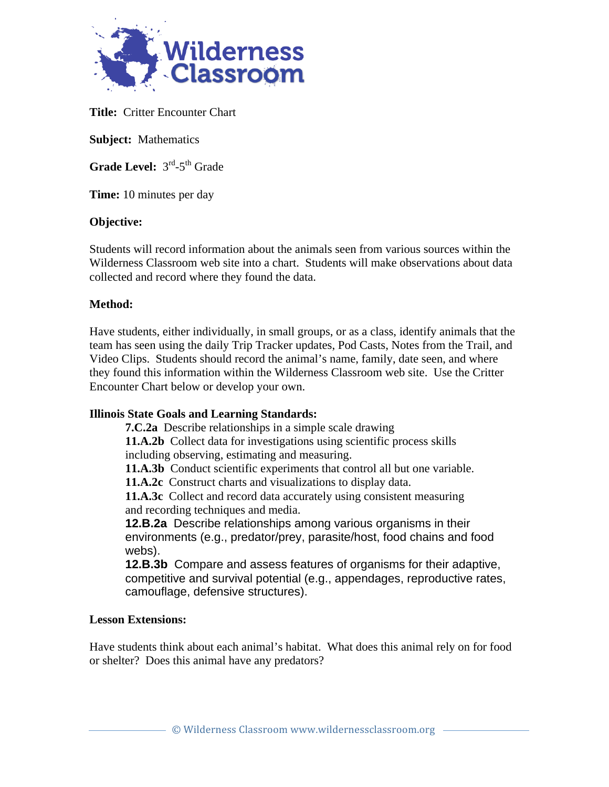

**Title:** Critter Encounter Chart

**Subject:** Mathematics

Grade Level:  $3<sup>rd</sup> - 5<sup>th</sup>$  Grade

**Time:** 10 minutes per day

## **Objective:**

Students will record information about the animals seen from various sources within the Wilderness Classroom web site into a chart. Students will make observations about data collected and record where they found the data.

## **Method:**

Have students, either individually, in small groups, or as a class, identify animals that the team has seen using the daily Trip Tracker updates, Pod Casts, Notes from the Trail, and Video Clips. Students should record the animal's name, family, date seen, and where they found this information within the Wilderness Classroom web site. Use the Critter Encounter Chart below or develop your own.

# **Illinois State Goals and Learning Standards:**

**7.C.2a** Describe relationships in a simple scale drawing

**11.A.2b** Collect data for investigations using scientific process skills including observing, estimating and measuring.

**11.A.3b** Conduct scientific experiments that control all but one variable.

**11.A.2c** Construct charts and visualizations to display data.

**11.A.3c** Collect and record data accurately using consistent measuring and recording techniques and media.

**12.B.2a** Describe relationships among various organisms in their environments (e.g., predator/prey, parasite/host, food chains and food webs).

**12.B.3b** Compare and assess features of organisms for their adaptive, competitive and survival potential (e.g., appendages, reproductive rates, camouflage, defensive structures).

#### **Lesson Extensions:**

Have students think about each animal's habitat. What does this animal rely on for food or shelter? Does this animal have any predators?